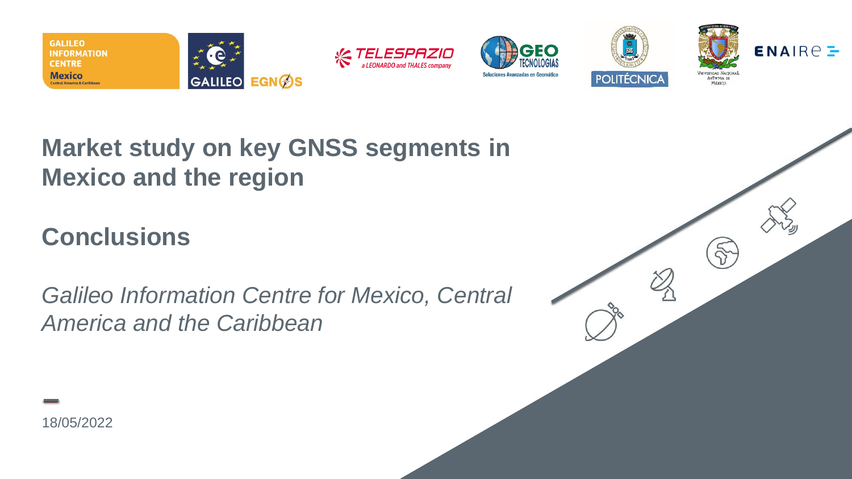

## **Market study on key GNSS segments in Mexico and the region**

# **Conclusions**

*Galileo Information Centre for Mexico, Central America and the Caribbean*

18/05/2022

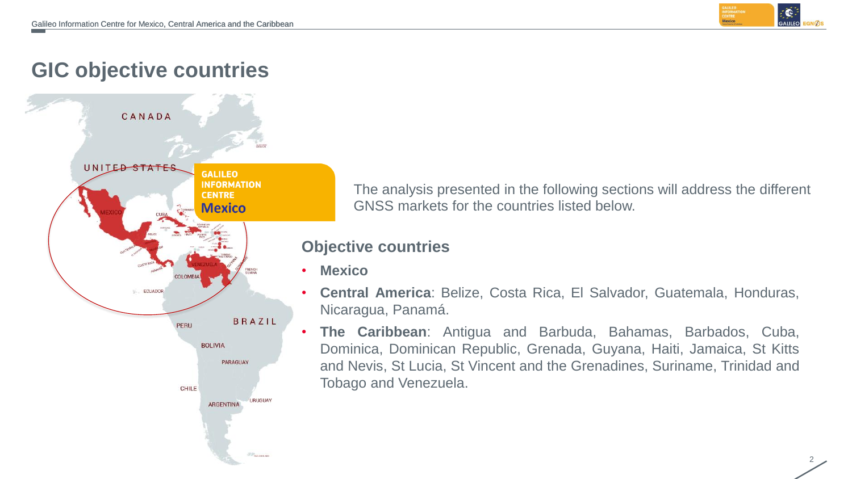

2

### **GIC objective countries**



The analysis presented in the following sections will address the different GNSS markets for the countries listed below.

#### **Objective countries**

- **Mexico**
- **Central America**: Belize, Costa Rica, El Salvador, Guatemala, Honduras, Nicaragua, Panamá.
- **The Caribbean**: Antigua and Barbuda, Bahamas, Barbados, Cuba, Dominica, Dominican Republic, Grenada, Guyana, Haiti, Jamaica, St Kitts and Nevis, St Lucia, St Vincent and the Grenadines, Suriname, Trinidad and Tobago and Venezuela.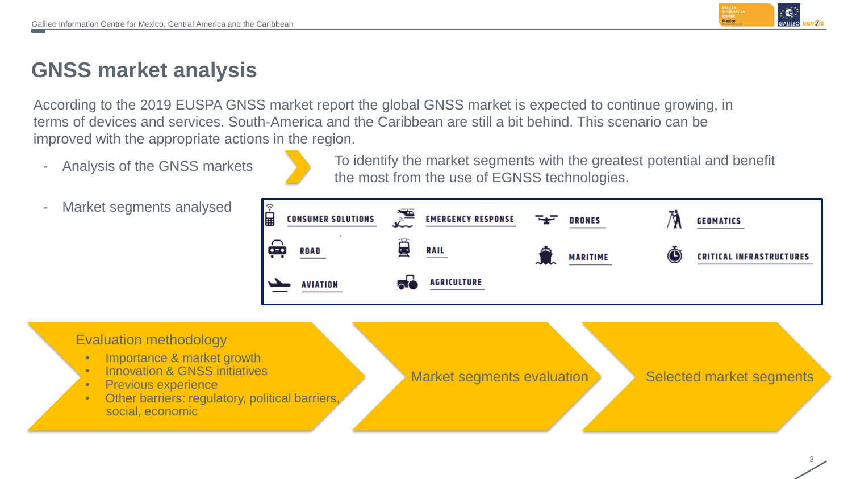

## **GNSS market analysis**

According to the 2019 EUSPA GNSS market report the global GNSS market is expected to continue growing, in terms of devices and services. South-America and the Caribbean are still a bit behind. This scenario can be improved with the appropriate actions in the region.

Analysis of the GNSS markets



To identify the market segments with the greatest potential and benefit the most from the use of EGNSS technologies.

Market segments analysed



#### Evaluation methodology

- Importance & market growth
- Innovation & GNSS initiatives
- Previous experience
- Other barriers: regulatory, political barriers, social, economic

Market segments evaluation Selected market segments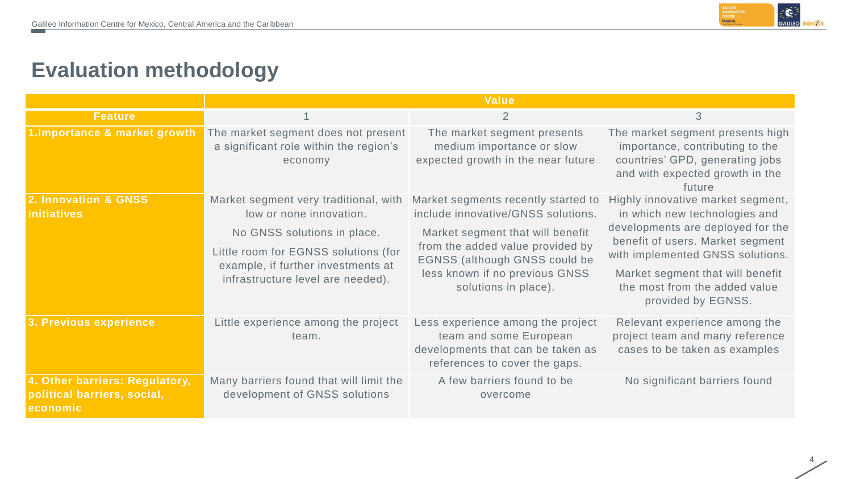

### **Evaluation methodology**

|                                                                           | <b>Value</b>                                                                                                                                                                                                       |                                                                                                                                                                                                                                                     |                                                                                                                                                                                                                                                                            |  |  |  |
|---------------------------------------------------------------------------|--------------------------------------------------------------------------------------------------------------------------------------------------------------------------------------------------------------------|-----------------------------------------------------------------------------------------------------------------------------------------------------------------------------------------------------------------------------------------------------|----------------------------------------------------------------------------------------------------------------------------------------------------------------------------------------------------------------------------------------------------------------------------|--|--|--|
| <b>Feature</b>                                                            |                                                                                                                                                                                                                    | 2                                                                                                                                                                                                                                                   | 3                                                                                                                                                                                                                                                                          |  |  |  |
| 1. Importance & market growth                                             | The market segment does not present<br>a significant role within the region's<br>economy                                                                                                                           | The market segment presents<br>medium importance or slow<br>expected growth in the near future                                                                                                                                                      | The market segment presents high<br>importance, contributing to the<br>countries' GPD, generating jobs<br>and with expected growth in the<br>future                                                                                                                        |  |  |  |
| 2. Innovation & GNSS<br><b>initiatives</b>                                | Market segment very traditional, with<br>low or none innovation.<br>No GNSS solutions in place.<br>Little room for EGNSS solutions (for<br>example, if further investments at<br>infrastructure level are needed). | Market segments recently started to<br>include innovative/GNSS solutions.<br>Market segment that will benefit<br>from the added value provided by<br><b>EGNSS (although GNSS could be</b><br>less known if no previous GNSS<br>solutions in place). | Highly innovative market segment,<br>in which new technologies and<br>developments are deployed for the<br>benefit of users. Market segment<br>with implemented GNSS solutions.<br>Market segment that will benefit<br>the most from the added value<br>provided by EGNSS. |  |  |  |
| 3. Previous experience                                                    | Little experience among the project<br>team.                                                                                                                                                                       | Less experience among the project<br>team and some European<br>developments that can be taken as<br>references to cover the gaps.                                                                                                                   | Relevant experience among the<br>project team and many reference<br>cases to be taken as examples                                                                                                                                                                          |  |  |  |
| 4. Other barriers: Regulatory,<br>political barriers, social,<br>economic | Many barriers found that will limit the<br>development of GNSS solutions                                                                                                                                           | A few barriers found to be<br>overcome                                                                                                                                                                                                              | No significant barriers found                                                                                                                                                                                                                                              |  |  |  |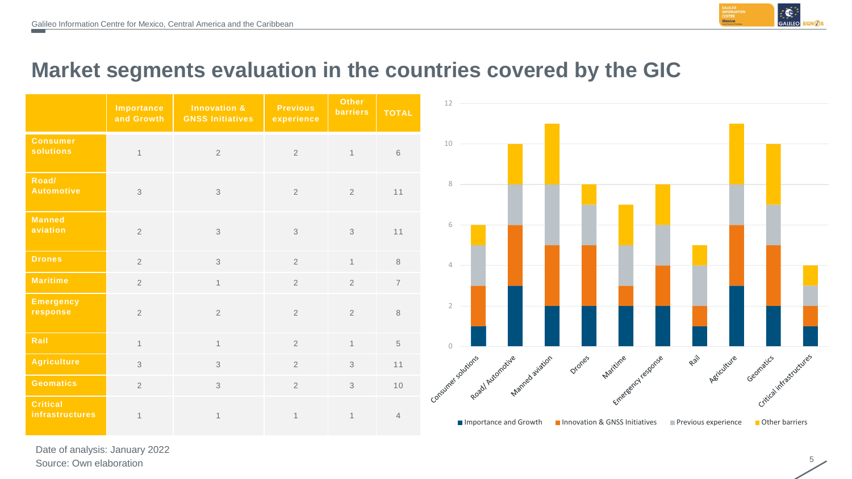

5

### **Market segments evaluation in the countries covered by the GIC**

|                                           | <b>Importance</b><br>and Growth | <b>Innovation &amp;</b><br><b>GNSS Initiatives</b> | <b>Previous</b><br>experience | <b>Other</b><br><b>barriers</b> | <b>TOTAL</b>    |
|-------------------------------------------|---------------------------------|----------------------------------------------------|-------------------------------|---------------------------------|-----------------|
| <b>Consumer</b><br><b>solutions</b>       | $\overline{1}$                  | $\overline{2}$                                     | $\overline{2}$                | $\mathbf{1}$                    | $6\phantom{1}6$ |
| Road/<br><b>Automotive</b>                | 3                               | 3                                                  | $\overline{2}$                | $\overline{2}$                  | 11              |
| <b>Manned</b><br>aviation                 | $\overline{2}$                  | $\mathfrak{Z}$                                     | 3                             | 3                               | 11              |
| <b>Drones</b>                             | $\overline{2}$                  | $\mathfrak{S}$                                     | $\overline{2}$                | $\mathbf{1}$                    | $\,8\,$         |
| <b>Maritime</b>                           | $\overline{2}$                  | $\mathbf{1}$                                       | $\overline{2}$                | $\overline{2}$                  | $\overline{7}$  |
| <b>Emergency</b><br>response              | $\overline{2}$                  | $\overline{2}$                                     | $\overline{2}$                | $\overline{2}$                  | 8               |
| Rail                                      | $\mathbf{1}$                    | $\mathbf{1}$                                       | $\overline{2}$                | $\mathbf{1}$                    | 5               |
| <b>Agriculture</b>                        | 3                               | $\mathfrak{Z}$                                     | $\overline{2}$                | 3                               | 11              |
| <b>Geomatics</b>                          | $\overline{2}$                  | $\mathfrak{S}$                                     | $\overline{2}$                | 3                               | 10              |
| <b>Critical</b><br><b>infrastructures</b> | $\mathbf{1}$                    | $\mathbf{1}$                                       | $\mathbf{1}$                  | $\mathbf 1$                     | $\overline{4}$  |



Date of analysis: January 2022 Source: Own elaboration